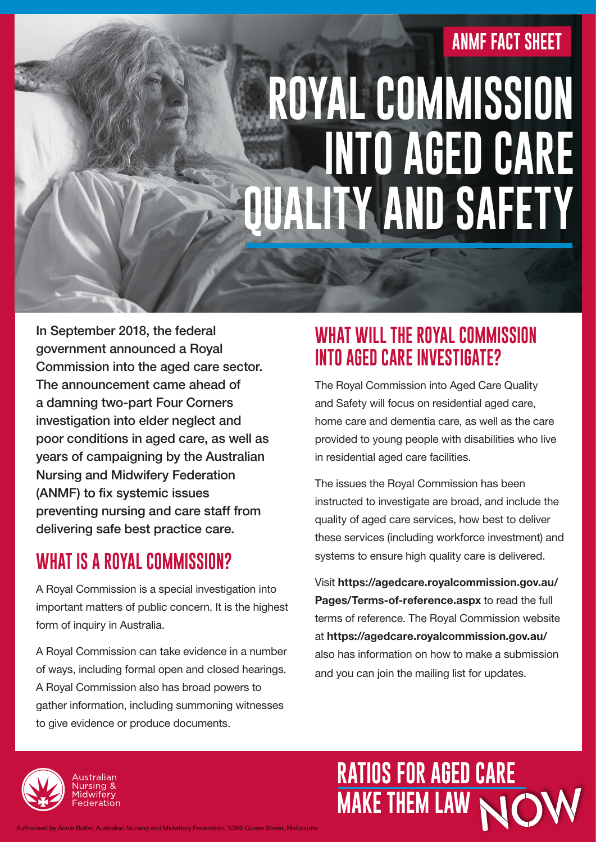#### **ANMF FACT SHEET**

# **ROYAL COMMISSION INTO AGED CARE QUALITY AND SAFETY**

In September 2018, the federal government announced a Royal Commission into the aged care sector. The announcement came ahead of a damning two-part Four Corners investigation into elder neglect and poor conditions in aged care, as well as years of campaigning by the Australian Nursing and Midwifery Federation (ANMF) to fix systemic issues preventing nursing and care staff from delivering safe best practice care.

#### **WHAT IS A ROYAL COMMISSION?**

A Royal Commission is a special investigation into important matters of public concern. It is the highest form of inquiry in Australia.

A Royal Commission can take evidence in a number of ways, including formal open and closed hearings. A Royal Commission also has broad powers to gather information, including summoning witnesses to give evidence or produce documents.

#### **WHAT WILL THE ROYAL COMMISSION INTO AGED CARE INVESTIGATE?**

The Royal Commission into Aged Care Quality and Safety will focus on residential aged care, home care and dementia care, as well as the care provided to young people with disabilities who live in residential aged care facilities.

The issues the Royal Commission has been instructed to investigate are broad, and include the quality of aged care services, how best to deliver these services (including workforce investment) and systems to ensure high quality care is delivered.

Visit https://agedcare.royalcommission.gov.au/ Pages/Terms-of-reference.aspx to read the full terms of reference. The Royal Commission website at https://agedcare.royalcommission.gov.au/ also has information on how to make a submission and you can join the mailing list for updates.



**RATIOS FOR AGED CARE MAKE THEM LAW** 

Authorised by Annie Butler, Australian Nursing and Midwifery Federation, 1/365 Queen Street, Melbourne